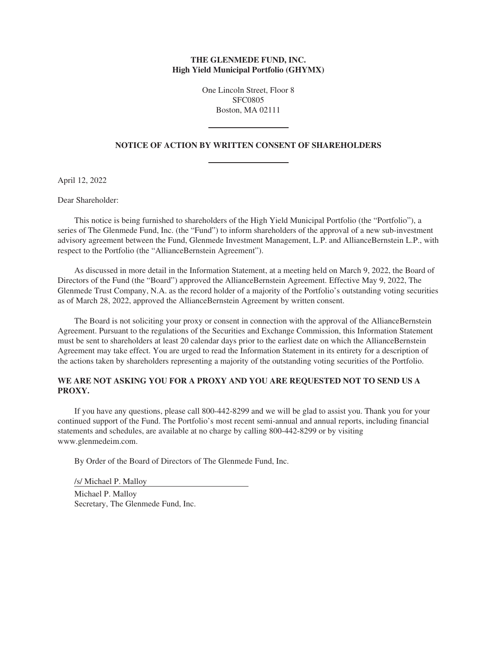# **THE GLENMEDE FUND, INC. High Yield Municipal Portfolio (GHYMX)**

One Lincoln Street, Floor 8 SFC0805 Boston, MA 02111

# **NOTICE OF ACTION BY WRITTEN CONSENT OF SHAREHOLDERS**

April 12, 2022

Dear Shareholder:

This notice is being furnished to shareholders of the High Yield Municipal Portfolio (the "Portfolio"), a series of The Glenmede Fund, Inc. (the "Fund") to inform shareholders of the approval of a new sub-investment advisory agreement between the Fund, Glenmede Investment Management, L.P. and AllianceBernstein L.P., with respect to the Portfolio (the "AllianceBernstein Agreement").

As discussed in more detail in the Information Statement, at a meeting held on March 9, 2022, the Board of Directors of the Fund (the "Board") approved the AllianceBernstein Agreement. Effective May 9, 2022, The Glenmede Trust Company, N.A. as the record holder of a majority of the Portfolio's outstanding voting securities as of March 28, 2022, approved the AllianceBernstein Agreement by written consent.

The Board is not soliciting your proxy or consent in connection with the approval of the AllianceBernstein Agreement. Pursuant to the regulations of the Securities and Exchange Commission, this Information Statement must be sent to shareholders at least 20 calendar days prior to the earliest date on which the AllianceBernstein Agreement may take effect. You are urged to read the Information Statement in its entirety for a description of the actions taken by shareholders representing a majority of the outstanding voting securities of the Portfolio.

# **WE ARE NOT ASKING YOU FOR A PROXY AND YOU ARE REQUESTED NOT TO SEND US A PROXY.**

If you have any questions, please call 800-442-8299 and we will be glad to assist you. Thank you for your continued support of the Fund. The Portfolio's most recent semi-annual and annual reports, including financial statements and schedules, are available at no charge by calling 800-442-8299 or by visiting www.glenmedeim.com.

By Order of the Board of Directors of The Glenmede Fund, Inc.

/s/ Michael P. Malloy

Michael P. Malloy Secretary, The Glenmede Fund, Inc.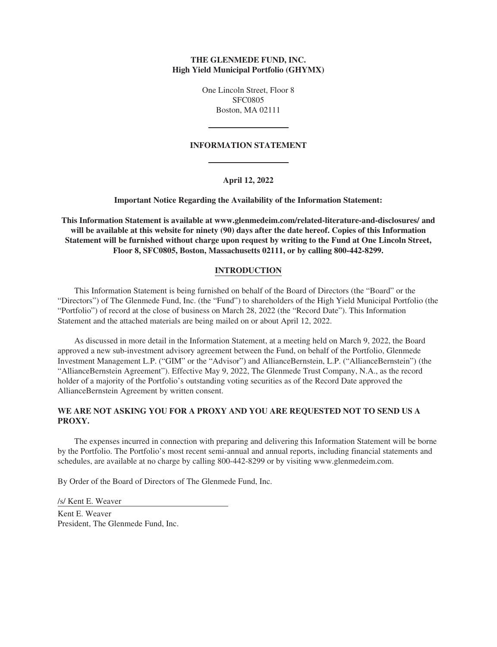# **THE GLENMEDE FUND, INC. High Yield Municipal Portfolio (GHYMX)**

One Lincoln Street, Floor 8 SFC0805 Boston, MA 02111

# **INFORMATION STATEMENT**

**April 12, 2022**

**Important Notice Regarding the Availability of the Information Statement:**

**This Information Statement is available at www.glenmedeim.com/related-literature-and-disclosures/ and will be available at this website for ninety (90) days after the date hereof. Copies of this Information Statement will be furnished without charge upon request by writing to the Fund at One Lincoln Street, Floor 8, SFC0805, Boston, Massachusetts 02111, or by calling 800-442-8299.**

## **INTRODUCTION**

This Information Statement is being furnished on behalf of the Board of Directors (the "Board" or the "Directors") of The Glenmede Fund, Inc. (the "Fund") to shareholders of the High Yield Municipal Portfolio (the "Portfolio") of record at the close of business on March 28, 2022 (the "Record Date"). This Information Statement and the attached materials are being mailed on or about April 12, 2022.

As discussed in more detail in the Information Statement, at a meeting held on March 9, 2022, the Board approved a new sub-investment advisory agreement between the Fund, on behalf of the Portfolio, Glenmede Investment Management L.P. ("GIM" or the "Advisor") and AllianceBernstein, L.P. ("AllianceBernstein") (the "AllianceBernstein Agreement"). Effective May 9, 2022, The Glenmede Trust Company, N.A., as the record holder of a majority of the Portfolio's outstanding voting securities as of the Record Date approved the AllianceBernstein Agreement by written consent.

# **WE ARE NOT ASKING YOU FOR A PROXY AND YOU ARE REQUESTED NOT TO SEND US A PROXY.**

The expenses incurred in connection with preparing and delivering this Information Statement will be borne by the Portfolio. The Portfolio's most recent semi-annual and annual reports, including financial statements and schedules, are available at no charge by calling 800-442-8299 or by visiting www.glenmedeim.com.

By Order of the Board of Directors of The Glenmede Fund, Inc.

/s/ Kent E. Weaver

Kent E. Weaver President, The Glenmede Fund, Inc.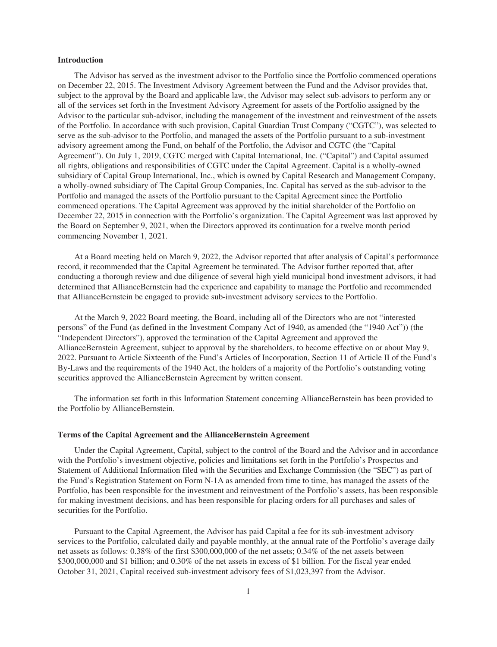### **Introduction**

The Advisor has served as the investment advisor to the Portfolio since the Portfolio commenced operations on December 22, 2015. The Investment Advisory Agreement between the Fund and the Advisor provides that, subject to the approval by the Board and applicable law, the Advisor may select sub-advisors to perform any or all of the services set forth in the Investment Advisory Agreement for assets of the Portfolio assigned by the Advisor to the particular sub-advisor, including the management of the investment and reinvestment of the assets of the Portfolio. In accordance with such provision, Capital Guardian Trust Company ("CGTC"), was selected to serve as the sub-advisor to the Portfolio, and managed the assets of the Portfolio pursuant to a sub-investment advisory agreement among the Fund, on behalf of the Portfolio, the Advisor and CGTC (the "Capital Agreement"). On July 1, 2019, CGTC merged with Capital International, Inc. ("Capital") and Capital assumed all rights, obligations and responsibilities of CGTC under the Capital Agreement. Capital is a wholly-owned subsidiary of Capital Group International, Inc., which is owned by Capital Research and Management Company, a wholly-owned subsidiary of The Capital Group Companies, Inc. Capital has served as the sub-advisor to the Portfolio and managed the assets of the Portfolio pursuant to the Capital Agreement since the Portfolio commenced operations. The Capital Agreement was approved by the initial shareholder of the Portfolio on December 22, 2015 in connection with the Portfolio's organization. The Capital Agreement was last approved by the Board on September 9, 2021, when the Directors approved its continuation for a twelve month period commencing November 1, 2021.

At a Board meeting held on March 9, 2022, the Advisor reported that after analysis of Capital's performance record, it recommended that the Capital Agreement be terminated. The Advisor further reported that, after conducting a thorough review and due diligence of several high yield municipal bond investment advisors, it had determined that AllianceBernstein had the experience and capability to manage the Portfolio and recommended that AllianceBernstein be engaged to provide sub-investment advisory services to the Portfolio.

At the March 9, 2022 Board meeting, the Board, including all of the Directors who are not "interested persons" of the Fund (as defined in the Investment Company Act of 1940, as amended (the "1940 Act")) (the "Independent Directors"), approved the termination of the Capital Agreement and approved the AllianceBernstein Agreement, subject to approval by the shareholders, to become effective on or about May 9, 2022. Pursuant to Article Sixteenth of the Fund's Articles of Incorporation, Section 11 of Article II of the Fund's By-Laws and the requirements of the 1940 Act, the holders of a majority of the Portfolio's outstanding voting securities approved the AllianceBernstein Agreement by written consent.

The information set forth in this Information Statement concerning AllianceBernstein has been provided to the Portfolio by AllianceBernstein.

#### **Terms of the Capital Agreement and the AllianceBernstein Agreement**

Under the Capital Agreement, Capital, subject to the control of the Board and the Advisor and in accordance with the Portfolio's investment objective, policies and limitations set forth in the Portfolio's Prospectus and Statement of Additional Information filed with the Securities and Exchange Commission (the "SEC") as part of the Fund's Registration Statement on Form N-1A as amended from time to time, has managed the assets of the Portfolio, has been responsible for the investment and reinvestment of the Portfolio's assets, has been responsible for making investment decisions, and has been responsible for placing orders for all purchases and sales of securities for the Portfolio.

Pursuant to the Capital Agreement, the Advisor has paid Capital a fee for its sub-investment advisory services to the Portfolio, calculated daily and payable monthly, at the annual rate of the Portfolio's average daily net assets as follows: 0.38% of the first \$300,000,000 of the net assets; 0.34% of the net assets between \$300,000,000 and \$1 billion; and 0.30% of the net assets in excess of \$1 billion. For the fiscal year ended October 31, 2021, Capital received sub-investment advisory fees of \$1,023,397 from the Advisor.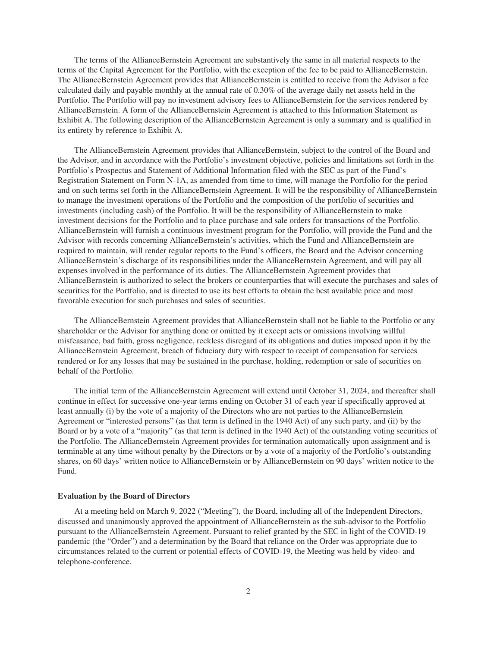The terms of the AllianceBernstein Agreement are substantively the same in all material respects to the terms of the Capital Agreement for the Portfolio, with the exception of the fee to be paid to AllianceBernstein. The AllianceBernstein Agreement provides that AllianceBernstein is entitled to receive from the Advisor a fee calculated daily and payable monthly at the annual rate of 0.30% of the average daily net assets held in the Portfolio. The Portfolio will pay no investment advisory fees to AllianceBernstein for the services rendered by AllianceBernstein. A form of the AllianceBernstein Agreement is attached to this Information Statement as Exhibit A. The following description of the AllianceBernstein Agreement is only a summary and is qualified in its entirety by reference to Exhibit A.

The AllianceBernstein Agreement provides that AllianceBernstein, subject to the control of the Board and the Advisor, and in accordance with the Portfolio's investment objective, policies and limitations set forth in the Portfolio's Prospectus and Statement of Additional Information filed with the SEC as part of the Fund's Registration Statement on Form N-1A, as amended from time to time, will manage the Portfolio for the period and on such terms set forth in the AllianceBernstein Agreement. It will be the responsibility of AllianceBernstein to manage the investment operations of the Portfolio and the composition of the portfolio of securities and investments (including cash) of the Portfolio. It will be the responsibility of AllianceBernstein to make investment decisions for the Portfolio and to place purchase and sale orders for transactions of the Portfolio. AllianceBernstein will furnish a continuous investment program for the Portfolio, will provide the Fund and the Advisor with records concerning AllianceBernstein's activities, which the Fund and AllianceBernstein are required to maintain, will render regular reports to the Fund's officers, the Board and the Advisor concerning AllianceBernstein's discharge of its responsibilities under the AllianceBernstein Agreement, and will pay all expenses involved in the performance of its duties. The AllianceBernstein Agreement provides that AllianceBernstein is authorized to select the brokers or counterparties that will execute the purchases and sales of securities for the Portfolio, and is directed to use its best efforts to obtain the best available price and most favorable execution for such purchases and sales of securities.

The AllianceBernstein Agreement provides that AllianceBernstein shall not be liable to the Portfolio or any shareholder or the Advisor for anything done or omitted by it except acts or omissions involving willful misfeasance, bad faith, gross negligence, reckless disregard of its obligations and duties imposed upon it by the AllianceBernstein Agreement, breach of fiduciary duty with respect to receipt of compensation for services rendered or for any losses that may be sustained in the purchase, holding, redemption or sale of securities on behalf of the Portfolio.

The initial term of the AllianceBernstein Agreement will extend until October 31, 2024, and thereafter shall continue in effect for successive one-year terms ending on October 31 of each year if specifically approved at least annually (i) by the vote of a majority of the Directors who are not parties to the AllianceBernstein Agreement or "interested persons" (as that term is defined in the 1940 Act) of any such party, and (ii) by the Board or by a vote of a "majority" (as that term is defined in the 1940 Act) of the outstanding voting securities of the Portfolio. The AllianceBernstein Agreement provides for termination automatically upon assignment and is terminable at any time without penalty by the Directors or by a vote of a majority of the Portfolio's outstanding shares, on 60 days' written notice to AllianceBernstein or by AllianceBernstein on 90 days' written notice to the Fund.

### **Evaluation by the Board of Directors**

At a meeting held on March 9, 2022 ("Meeting"), the Board, including all of the Independent Directors, discussed and unanimously approved the appointment of AllianceBernstein as the sub-advisor to the Portfolio pursuant to the AllianceBernstein Agreement. Pursuant to relief granted by the SEC in light of the COVID-19 pandemic (the "Order") and a determination by the Board that reliance on the Order was appropriate due to circumstances related to the current or potential effects of COVID-19, the Meeting was held by video- and telephone-conference.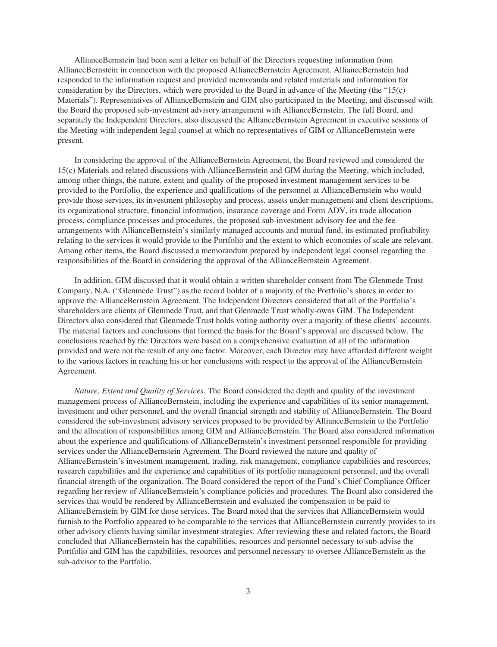AllianceBernstein had been sent a letter on behalf of the Directors requesting information from AllianceBernstein in connection with the proposed AllianceBernstein Agreement. AllianceBernstein had responded to the information request and provided memoranda and related materials and information for consideration by the Directors, which were provided to the Board in advance of the Meeting (the "15(c) Materials"). Representatives of AllianceBernstein and GIM also participated in the Meeting, and discussed with the Board the proposed sub-investment advisory arrangement with AllianceBernstein. The full Board, and separately the Independent Directors, also discussed the AllianceBernstein Agreement in executive sessions of the Meeting with independent legal counsel at which no representatives of GIM or AllianceBernstein were present.

In considering the approval of the AllianceBernstein Agreement, the Board reviewed and considered the 15(c) Materials and related discussions with AllianceBernstein and GIM during the Meeting, which included, among other things, the nature, extent and quality of the proposed investment management services to be provided to the Portfolio, the experience and qualifications of the personnel at AllianceBernstein who would provide those services, its investment philosophy and process, assets under management and client descriptions, its organizational structure, financial information, insurance coverage and Form ADV, its trade allocation process, compliance processes and procedures, the proposed sub-investment advisory fee and the fee arrangements with AllianceBernstein's similarly managed accounts and mutual fund, its estimated profitability relating to the services it would provide to the Portfolio and the extent to which economies of scale are relevant. Among other items, the Board discussed a memorandum prepared by independent legal counsel regarding the responsibilities of the Board in considering the approval of the AllianceBernstein Agreement.

In addition, GIM discussed that it would obtain a written shareholder consent from The Glenmede Trust Company, N.A. ("Glenmede Trust") as the record holder of a majority of the Portfolio's shares in order to approve the AllianceBernstein Agreement. The Independent Directors considered that all of the Portfolio's shareholders are clients of Glenmede Trust, and that Glenmede Trust wholly-owns GIM. The Independent Directors also considered that Glenmede Trust holds voting authority over a majority of these clients' accounts. The material factors and conclusions that formed the basis for the Board's approval are discussed below. The conclusions reached by the Directors were based on a comprehensive evaluation of all of the information provided and were not the result of any one factor. Moreover, each Director may have afforded different weight to the various factors in reaching his or her conclusions with respect to the approval of the AllianceBernstein Agreement.

*Nature, Extent and Quality of Services*. The Board considered the depth and quality of the investment management process of AllianceBernstein, including the experience and capabilities of its senior management, investment and other personnel, and the overall financial strength and stability of AllianceBernstein. The Board considered the sub-investment advisory services proposed to be provided by AllianceBernstein to the Portfolio and the allocation of responsibilities among GIM and AllianceBernstein. The Board also considered information about the experience and qualifications of AllianceBernstein's investment personnel responsible for providing services under the AllianceBernstein Agreement. The Board reviewed the nature and quality of AllianceBernstein's investment management, trading, risk management, compliance capabilities and resources, research capabilities and the experience and capabilities of its portfolio management personnel, and the overall financial strength of the organization. The Board considered the report of the Fund's Chief Compliance Officer regarding her review of AllianceBernstein's compliance policies and procedures. The Board also considered the services that would be rendered by AllianceBernstein and evaluated the compensation to be paid to AllianceBernstein by GIM for those services. The Board noted that the services that AllianceBernstein would furnish to the Portfolio appeared to be comparable to the services that AllianceBernstein currently provides to its other advisory clients having similar investment strategies. After reviewing these and related factors, the Board concluded that AllianceBernstein has the capabilities, resources and personnel necessary to sub-advise the Portfolio and GIM has the capabilities, resources and personnel necessary to oversee AllianceBernstein as the sub-advisor to the Portfolio.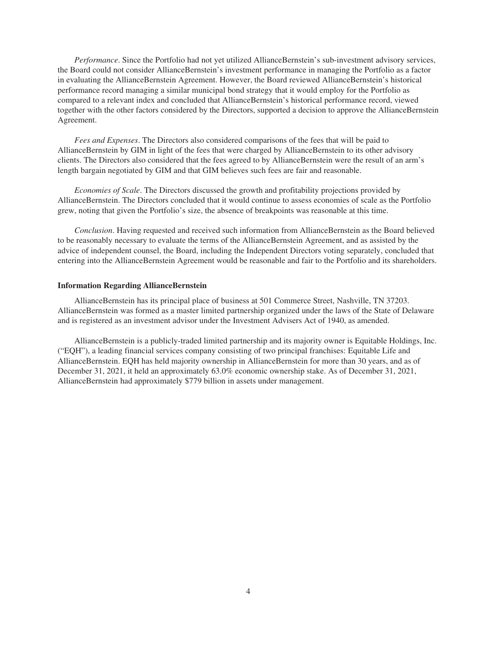*Performance*. Since the Portfolio had not yet utilized AllianceBernstein's sub-investment advisory services, the Board could not consider AllianceBernstein's investment performance in managing the Portfolio as a factor in evaluating the AllianceBernstein Agreement. However, the Board reviewed AllianceBernstein's historical performance record managing a similar municipal bond strategy that it would employ for the Portfolio as compared to a relevant index and concluded that AllianceBernstein's historical performance record, viewed together with the other factors considered by the Directors, supported a decision to approve the AllianceBernstein Agreement.

*Fees and Expenses*. The Directors also considered comparisons of the fees that will be paid to AllianceBernstein by GIM in light of the fees that were charged by AllianceBernstein to its other advisory clients. The Directors also considered that the fees agreed to by AllianceBernstein were the result of an arm's length bargain negotiated by GIM and that GIM believes such fees are fair and reasonable.

*Economies of Scale*. The Directors discussed the growth and profitability projections provided by AllianceBernstein. The Directors concluded that it would continue to assess economies of scale as the Portfolio grew, noting that given the Portfolio's size, the absence of breakpoints was reasonable at this time.

*Conclusion*. Having requested and received such information from AllianceBernstein as the Board believed to be reasonably necessary to evaluate the terms of the AllianceBernstein Agreement, and as assisted by the advice of independent counsel, the Board, including the Independent Directors voting separately, concluded that entering into the AllianceBernstein Agreement would be reasonable and fair to the Portfolio and its shareholders.

# **Information Regarding AllianceBernstein**

AllianceBernstein has its principal place of business at 501 Commerce Street, Nashville, TN 37203. AllianceBernstein was formed as a master limited partnership organized under the laws of the State of Delaware and is registered as an investment advisor under the Investment Advisers Act of 1940, as amended.

AllianceBernstein is a publicly-traded limited partnership and its majority owner is Equitable Holdings, Inc. ("EQH"), a leading financial services company consisting of two principal franchises: Equitable Life and AllianceBernstein. EQH has held majority ownership in AllianceBernstein for more than 30 years, and as of December 31, 2021, it held an approximately 63.0% economic ownership stake. As of December 31, 2021, AllianceBernstein had approximately \$779 billion in assets under management.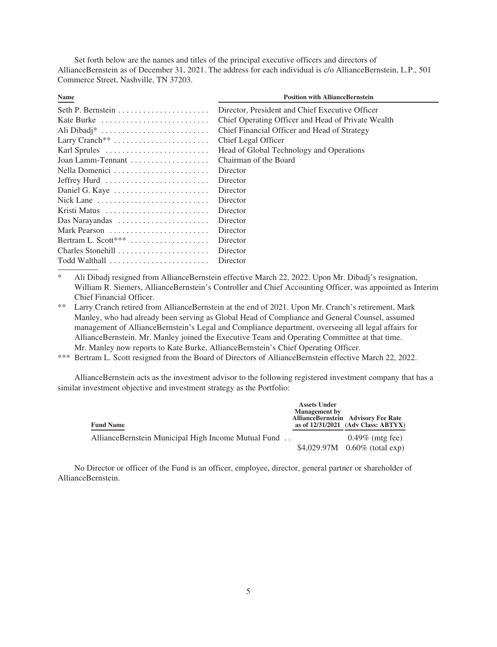Set forth below are the names and titles of the principal executive officers and directors of AllianceBernstein as of December 31, 2021. The address for each individual is c/o AllianceBernstein, L.P., 501 Commerce Street, Nashville, TN 37203.

| <b>Position with AllianceBernstein</b>             |
|----------------------------------------------------|
| Director, President and Chief Executive Officer    |
| Chief Operating Officer and Head of Private Wealth |
| Chief Financial Officer and Head of Strategy       |
| Chief Legal Officer                                |
| Head of Global Technology and Operations           |
| Chairman of the Board                              |
| Director                                           |
| Director                                           |
| Director                                           |
| Director                                           |
| Director                                           |
| Director                                           |
| Director                                           |
| Director                                           |
| Director                                           |
| Director                                           |
|                                                    |

\* Ali Dibadj resigned from AllianceBernstein effective March 22, 2022. Upon Mr. Dibadj's resignation, William R. Siemers, AllianceBernstein's Controller and Chief Accounting Officer, was appointed as Interim Chief Financial Officer.

\*\* Larry Cranch retired from AllianceBernstein at the end of 2021. Upon Mr. Cranch's retirement, Mark Manley, who had already been serving as Global Head of Compliance and General Counsel, assumed management of AllianceBernstein's Legal and Compliance department, overseeing all legal affairs for AllianceBernstein. Mr. Manley joined the Executive Team and Operating Committee at that time. Mr. Manley now reports to Kate Burke, AllianceBernstein's Chief Operating Officer.

\*\*\* Bertram L. Scott resigned from the Board of Directors of AllianceBernstein effective March 22, 2022.

AllianceBernstein acts as the investment advisor to the following registered investment company that has a similar investment objective and investment strategy as the Portfolio:

| <b>Fund Name</b>                                    | <b>Assets Under</b><br><b>Management</b> by | <b>AllianceBernstein Advisory Fee Rate</b><br>as of $12/31/2021$ (Adv Class: ABTYX) |
|-----------------------------------------------------|---------------------------------------------|-------------------------------------------------------------------------------------|
| AllianceBernstein Municipal High Income Mutual Fund |                                             | $0.49\%$ (mtg fee)                                                                  |
|                                                     |                                             | $$4,029.97M$ 0.60% (total exp)                                                      |

No Director or officer of the Fund is an officer, employee, director, general partner or shareholder of AllianceBernstein.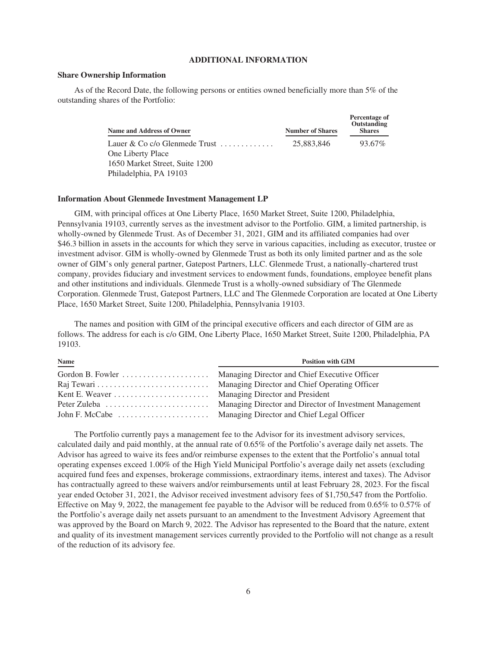#### **ADDITIONAL INFORMATION**

#### **Share Ownership Information**

As of the Record Date, the following persons or entities owned beneficially more than 5% of the outstanding shares of the Portfolio:

| Name and Address of Owner                            | <b>Number of Shares</b> | Outstanding<br><b>Shares</b> |
|------------------------------------------------------|-------------------------|------------------------------|
| Lauer & Co c/o Glenmede Trust $\ldots \ldots \ldots$ | 25,883,846              | 93.67%                       |
| One Liberty Place                                    |                         |                              |
| 1650 Market Street, Suite 1200                       |                         |                              |
| Philadelphia, PA 19103                               |                         |                              |

**Percentage of**

#### **Information About Glenmede Investment Management LP**

GIM, with principal offices at One Liberty Place, 1650 Market Street, Suite 1200, Philadelphia, Pennsylvania 19103, currently serves as the investment advisor to the Portfolio. GIM, a limited partnership, is wholly-owned by Glenmede Trust. As of December 31, 2021, GIM and its affiliated companies had over \$46.3 billion in assets in the accounts for which they serve in various capacities, including as executor, trustee or investment advisor. GIM is wholly-owned by Glenmede Trust as both its only limited partner and as the sole owner of GIM's only general partner, Gatepost Partners, LLC. Glenmede Trust, a nationally-chartered trust company, provides fiduciary and investment services to endowment funds, foundations, employee benefit plans and other institutions and individuals. Glenmede Trust is a wholly-owned subsidiary of The Glenmede Corporation. Glenmede Trust, Gatepost Partners, LLC and The Glenmede Corporation are located at One Liberty Place, 1650 Market Street, Suite 1200, Philadelphia, Pennsylvania 19103.

The names and position with GIM of the principal executive officers and each director of GIM are as follows. The address for each is c/o GIM, One Liberty Place, 1650 Market Street, Suite 1200, Philadelphia, PA 19103.

| <b>Name</b> | <b>Position with GIM</b> |
|-------------|--------------------------|
|             |                          |
|             |                          |
|             |                          |
|             |                          |
|             |                          |
|             |                          |

The Portfolio currently pays a management fee to the Advisor for its investment advisory services, calculated daily and paid monthly, at the annual rate of 0.65% of the Portfolio's average daily net assets. The Advisor has agreed to waive its fees and/or reimburse expenses to the extent that the Portfolio's annual total operating expenses exceed 1.00% of the High Yield Municipal Portfolio's average daily net assets (excluding acquired fund fees and expenses, brokerage commissions, extraordinary items, interest and taxes). The Advisor has contractually agreed to these waivers and/or reimbursements until at least February 28, 2023. For the fiscal year ended October 31, 2021, the Advisor received investment advisory fees of \$1,750,547 from the Portfolio. Effective on May 9, 2022, the management fee payable to the Advisor will be reduced from 0.65% to 0.57% of the Portfolio's average daily net assets pursuant to an amendment to the Investment Advisory Agreement that was approved by the Board on March 9, 2022. The Advisor has represented to the Board that the nature, extent and quality of its investment management services currently provided to the Portfolio will not change as a result of the reduction of its advisory fee.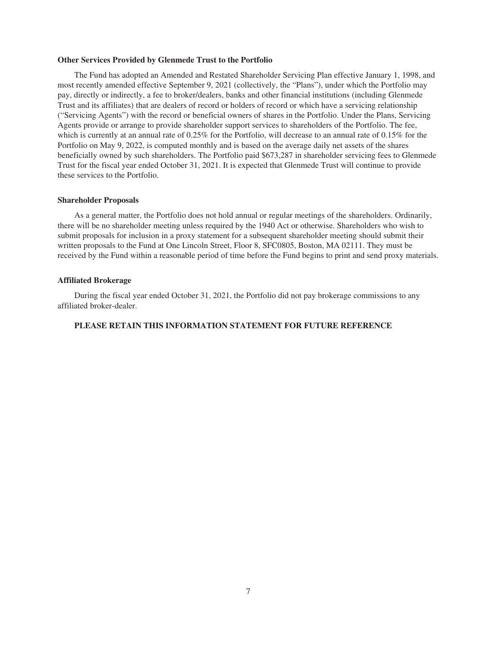#### **Other Services Provided by Glenmede Trust to the Portfolio**

The Fund has adopted an Amended and Restated Shareholder Servicing Plan effective January 1, 1998, and most recently amended effective September 9, 2021 (collectively, the "Plans"), under which the Portfolio may pay, directly or indirectly, a fee to broker/dealers, banks and other financial institutions (including Glenmede Trust and its affiliates) that are dealers of record or holders of record or which have a servicing relationship ("Servicing Agents") with the record or beneficial owners of shares in the Portfolio. Under the Plans, Servicing Agents provide or arrange to provide shareholder support services to shareholders of the Portfolio. The fee, which is currently at an annual rate of 0.25% for the Portfolio, will decrease to an annual rate of 0.15% for the Portfolio on May 9, 2022, is computed monthly and is based on the average daily net assets of the shares beneficially owned by such shareholders. The Portfolio paid \$673,287 in shareholder servicing fees to Glenmede Trust for the fiscal year ended October 31, 2021. It is expected that Glenmede Trust will continue to provide these services to the Portfolio.

#### **Shareholder Proposals**

As a general matter, the Portfolio does not hold annual or regular meetings of the shareholders. Ordinarily, there will be no shareholder meeting unless required by the 1940 Act or otherwise. Shareholders who wish to submit proposals for inclusion in a proxy statement for a subsequent shareholder meeting should submit their written proposals to the Fund at One Lincoln Street, Floor 8, SFC0805, Boston, MA 02111. They must be received by the Fund within a reasonable period of time before the Fund begins to print and send proxy materials.

### **Affiliated Brokerage**

During the fiscal year ended October 31, 2021, the Portfolio did not pay brokerage commissions to any affiliated broker-dealer.

## **PLEASE RETAIN THIS INFORMATION STATEMENT FOR FUTURE REFERENCE**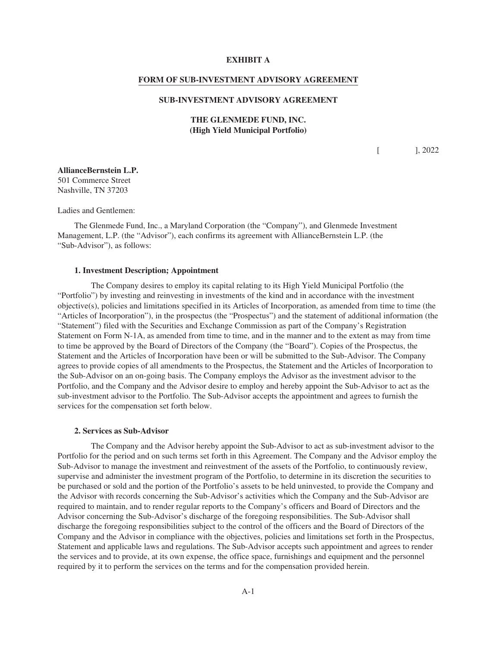### **EXHIBIT A**

### **FORM OF SUB-INVESTMENT ADVISORY AGREEMENT**

# **SUB-INVESTMENT ADVISORY AGREEMENT**

# **THE GLENMEDE FUND, INC. (High Yield Municipal Portfolio)**

 $[$ , 2022

**AllianceBernstein L.P.** 501 Commerce Street Nashville, TN 37203

Ladies and Gentlemen:

The Glenmede Fund, Inc., a Maryland Corporation (the "Company"), and Glenmede Investment Management, L.P. (the "Advisor"), each confirms its agreement with AllianceBernstein L.P. (the "Sub-Advisor"), as follows:

# **1. Investment Description; Appointment**

The Company desires to employ its capital relating to its High Yield Municipal Portfolio (the "Portfolio") by investing and reinvesting in investments of the kind and in accordance with the investment objective(s), policies and limitations specified in its Articles of Incorporation, as amended from time to time (the "Articles of Incorporation"), in the prospectus (the "Prospectus") and the statement of additional information (the "Statement") filed with the Securities and Exchange Commission as part of the Company's Registration Statement on Form N-1A, as amended from time to time, and in the manner and to the extent as may from time to time be approved by the Board of Directors of the Company (the "Board"). Copies of the Prospectus, the Statement and the Articles of Incorporation have been or will be submitted to the Sub-Advisor. The Company agrees to provide copies of all amendments to the Prospectus, the Statement and the Articles of Incorporation to the Sub-Advisor on an on-going basis. The Company employs the Advisor as the investment advisor to the Portfolio, and the Company and the Advisor desire to employ and hereby appoint the Sub-Advisor to act as the sub-investment advisor to the Portfolio. The Sub-Advisor accepts the appointment and agrees to furnish the services for the compensation set forth below.

#### **2. Services as Sub-Advisor**

The Company and the Advisor hereby appoint the Sub-Advisor to act as sub-investment advisor to the Portfolio for the period and on such terms set forth in this Agreement. The Company and the Advisor employ the Sub-Advisor to manage the investment and reinvestment of the assets of the Portfolio, to continuously review, supervise and administer the investment program of the Portfolio, to determine in its discretion the securities to be purchased or sold and the portion of the Portfolio's assets to be held uninvested, to provide the Company and the Advisor with records concerning the Sub-Advisor's activities which the Company and the Sub-Advisor are required to maintain, and to render regular reports to the Company's officers and Board of Directors and the Advisor concerning the Sub-Advisor's discharge of the foregoing responsibilities. The Sub-Advisor shall discharge the foregoing responsibilities subject to the control of the officers and the Board of Directors of the Company and the Advisor in compliance with the objectives, policies and limitations set forth in the Prospectus, Statement and applicable laws and regulations. The Sub-Advisor accepts such appointment and agrees to render the services and to provide, at its own expense, the office space, furnishings and equipment and the personnel required by it to perform the services on the terms and for the compensation provided herein.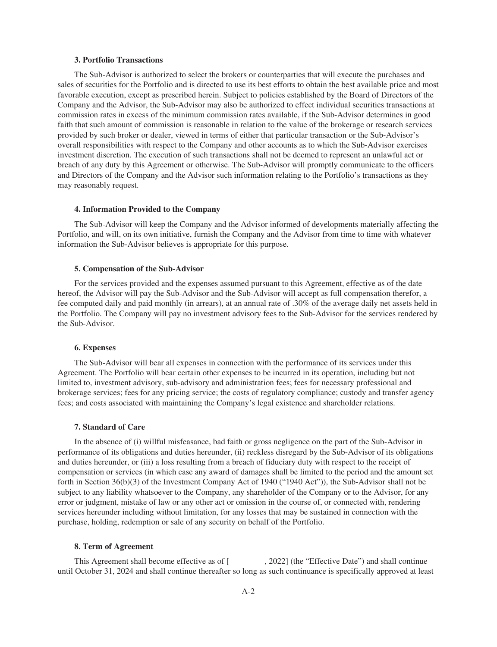### **3. Portfolio Transactions**

The Sub-Advisor is authorized to select the brokers or counterparties that will execute the purchases and sales of securities for the Portfolio and is directed to use its best efforts to obtain the best available price and most favorable execution, except as prescribed herein. Subject to policies established by the Board of Directors of the Company and the Advisor, the Sub-Advisor may also be authorized to effect individual securities transactions at commission rates in excess of the minimum commission rates available, if the Sub-Advisor determines in good faith that such amount of commission is reasonable in relation to the value of the brokerage or research services provided by such broker or dealer, viewed in terms of either that particular transaction or the Sub-Advisor's overall responsibilities with respect to the Company and other accounts as to which the Sub-Advisor exercises investment discretion. The execution of such transactions shall not be deemed to represent an unlawful act or breach of any duty by this Agreement or otherwise. The Sub-Advisor will promptly communicate to the officers and Directors of the Company and the Advisor such information relating to the Portfolio's transactions as they may reasonably request.

#### **4. Information Provided to the Company**

The Sub-Advisor will keep the Company and the Advisor informed of developments materially affecting the Portfolio, and will, on its own initiative, furnish the Company and the Advisor from time to time with whatever information the Sub-Advisor believes is appropriate for this purpose.

#### **5. Compensation of the Sub-Advisor**

For the services provided and the expenses assumed pursuant to this Agreement, effective as of the date hereof, the Advisor will pay the Sub-Advisor and the Sub-Advisor will accept as full compensation therefor, a fee computed daily and paid monthly (in arrears), at an annual rate of .30% of the average daily net assets held in the Portfolio. The Company will pay no investment advisory fees to the Sub-Advisor for the services rendered by the Sub-Advisor.

### **6. Expenses**

The Sub-Advisor will bear all expenses in connection with the performance of its services under this Agreement. The Portfolio will bear certain other expenses to be incurred in its operation, including but not limited to, investment advisory, sub-advisory and administration fees; fees for necessary professional and brokerage services; fees for any pricing service; the costs of regulatory compliance; custody and transfer agency fees; and costs associated with maintaining the Company's legal existence and shareholder relations.

### **7. Standard of Care**

In the absence of (i) willful misfeasance, bad faith or gross negligence on the part of the Sub-Advisor in performance of its obligations and duties hereunder, (ii) reckless disregard by the Sub-Advisor of its obligations and duties hereunder, or (iii) a loss resulting from a breach of fiduciary duty with respect to the receipt of compensation or services (in which case any award of damages shall be limited to the period and the amount set forth in Section 36(b)(3) of the Investment Company Act of 1940 ("1940 Act")), the Sub-Advisor shall not be subject to any liability whatsoever to the Company, any shareholder of the Company or to the Advisor, for any error or judgment, mistake of law or any other act or omission in the course of, or connected with, rendering services hereunder including without limitation, for any losses that may be sustained in connection with the purchase, holding, redemption or sale of any security on behalf of the Portfolio.

#### **8. Term of Agreement**

This Agreement shall become effective as of [ , 2022] (the "Effective Date") and shall continue until October 31, 2024 and shall continue thereafter so long as such continuance is specifically approved at least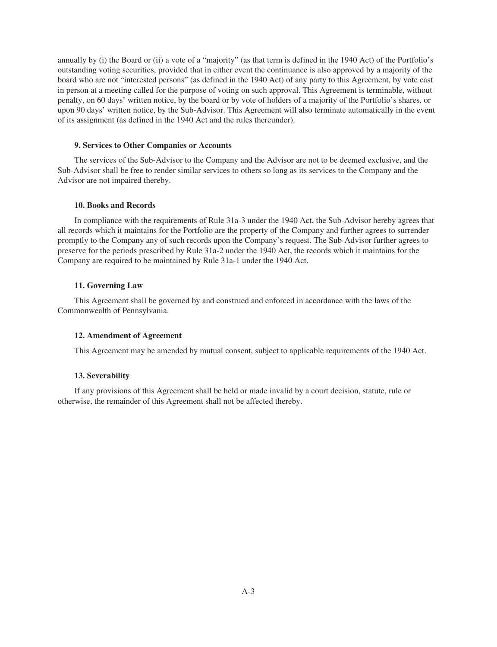annually by (i) the Board or (ii) a vote of a "majority" (as that term is defined in the 1940 Act) of the Portfolio's outstanding voting securities, provided that in either event the continuance is also approved by a majority of the board who are not "interested persons" (as defined in the 1940 Act) of any party to this Agreement, by vote cast in person at a meeting called for the purpose of voting on such approval. This Agreement is terminable, without penalty, on 60 days' written notice, by the board or by vote of holders of a majority of the Portfolio's shares, or upon 90 days' written notice, by the Sub-Advisor. This Agreement will also terminate automatically in the event of its assignment (as defined in the 1940 Act and the rules thereunder).

### **9. Services to Other Companies or Accounts**

The services of the Sub-Advisor to the Company and the Advisor are not to be deemed exclusive, and the Sub-Advisor shall be free to render similar services to others so long as its services to the Company and the Advisor are not impaired thereby.

#### **10. Books and Records**

In compliance with the requirements of Rule 31a-3 under the 1940 Act, the Sub-Advisor hereby agrees that all records which it maintains for the Portfolio are the property of the Company and further agrees to surrender promptly to the Company any of such records upon the Company's request. The Sub-Advisor further agrees to preserve for the periods prescribed by Rule 31a-2 under the 1940 Act, the records which it maintains for the Company are required to be maintained by Rule 31a-1 under the 1940 Act.

### **11. Governing Law**

This Agreement shall be governed by and construed and enforced in accordance with the laws of the Commonwealth of Pennsylvania.

#### **12. Amendment of Agreement**

This Agreement may be amended by mutual consent, subject to applicable requirements of the 1940 Act.

### **13. Severability**

If any provisions of this Agreement shall be held or made invalid by a court decision, statute, rule or otherwise, the remainder of this Agreement shall not be affected thereby.